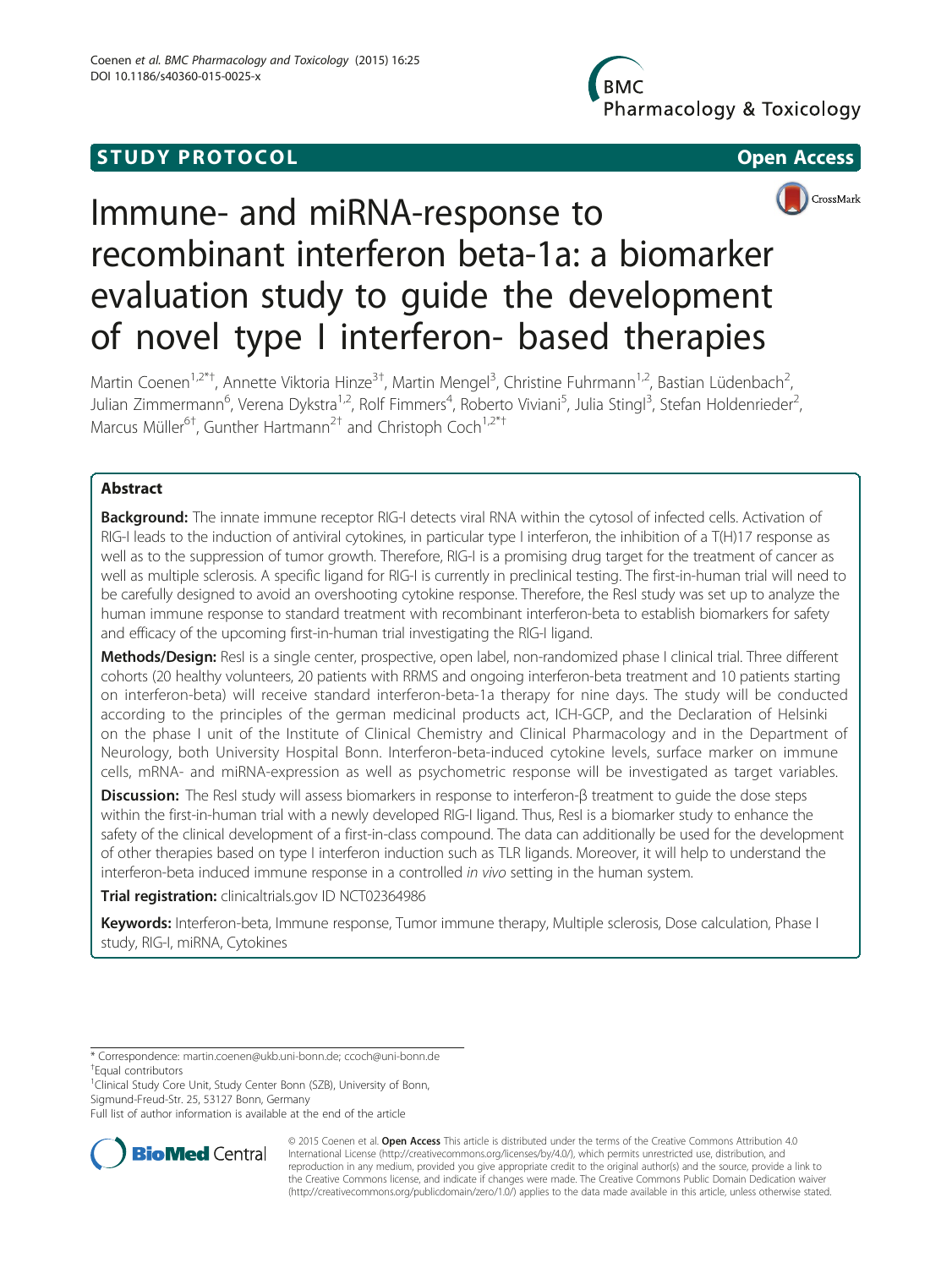# **STUDY PROTOCOL CONSUMING THE CONSUMING OPEN ACCESS**



# CrossMark

# Immune- and miRNA-response to recombinant interferon beta-1a: a biomarker evaluation study to guide the development of novel type I interferon- based therapies

Martin Coenen<sup>1,2\*†</sup>, Annette Viktoria Hinze<sup>3†</sup>, Martin Mengel<sup>3</sup>, Christine Fuhrmann<sup>1,2</sup>, Bastian Lüdenbach<sup>2</sup> , Julian Zimmermann<sup>6</sup>, Verena Dykstra<sup>1,2</sup>, Rolf Fimmers<sup>4</sup>, Roberto Viviani<sup>5</sup>, Julia Stingl<sup>3</sup>, Stefan Holdenrieder<sup>2</sup> , Marcus Müller<sup>6†</sup>, Gunther Hartmann<sup>2†</sup> and Christoph Coch<sup>1,2\*†</sup>

# Abstract

Background: The innate immune receptor RIG-I detects viral RNA within the cytosol of infected cells. Activation of RIG-I leads to the induction of antiviral cytokines, in particular type I interferon, the inhibition of a T(H)17 response as well as to the suppression of tumor growth. Therefore, RIG-I is a promising drug target for the treatment of cancer as well as multiple sclerosis. A specific ligand for RIG-I is currently in preclinical testing. The first-in-human trial will need to be carefully designed to avoid an overshooting cytokine response. Therefore, the ResI study was set up to analyze the human immune response to standard treatment with recombinant interferon-beta to establish biomarkers for safety and efficacy of the upcoming first-in-human trial investigating the RIG-I ligand.

Methods/Design: ResI is a single center, prospective, open label, non-randomized phase I clinical trial. Three different cohorts (20 healthy volunteers, 20 patients with RRMS and ongoing interferon-beta treatment and 10 patients starting on interferon-beta) will receive standard interferon-beta-1a therapy for nine days. The study will be conducted according to the principles of the german medicinal products act, ICH-GCP, and the Declaration of Helsinki on the phase I unit of the Institute of Clinical Chemistry and Clinical Pharmacology and in the Department of Neurology, both University Hospital Bonn. Interferon-beta-induced cytokine levels, surface marker on immune cells, mRNA- and miRNA-expression as well as psychometric response will be investigated as target variables.

Discussion: The ResI study will assess biomarkers in response to interferon-β treatment to guide the dose steps within the first-in-human trial with a newly developed RIG-I ligand. Thus, ResI is a biomarker study to enhance the safety of the clinical development of a first-in-class compound. The data can additionally be used for the development of other therapies based on type I interferon induction such as TLR ligands. Moreover, it will help to understand the interferon-beta induced immune response in a controlled in vivo setting in the human system.

# Trial registration: clinicaltrials.gov ID [NCT02364986](https://clinicaltrials.gov/)

Keywords: Interferon-beta, Immune response, Tumor immune therapy, Multiple sclerosis, Dose calculation, Phase I study, RIG-I, miRNA, Cytokines

\* Correspondence: [martin.coenen@ukb.uni-bonn.de](mailto:martin.coenen@ukb.uni-bonn.de); [ccoch@uni-bonn.de](mailto:ccoch@uni-bonn.de) †

Equal contributors

<sup>1</sup>Clinical Study Core Unit, Study Center Bonn (SZB), University of Bonn, Sigmund-Freud-Str. 25, 53127 Bonn, Germany

Full list of author information is available at the end of the article



© 2015 Coenen et al. Open Access This article is distributed under the terms of the Creative Commons Attribution 4.0 International License [\(http://creativecommons.org/licenses/by/4.0/](http://creativecommons.org/licenses/by/4.0/)), which permits unrestricted use, distribution, and reproduction in any medium, provided you give appropriate credit to the original author(s) and the source, provide a link to the Creative Commons license, and indicate if changes were made. The Creative Commons Public Domain Dedication waiver [\(http://creativecommons.org/publicdomain/zero/1.0/](http://creativecommons.org/publicdomain/zero/1.0/)) applies to the data made available in this article, unless otherwise stated.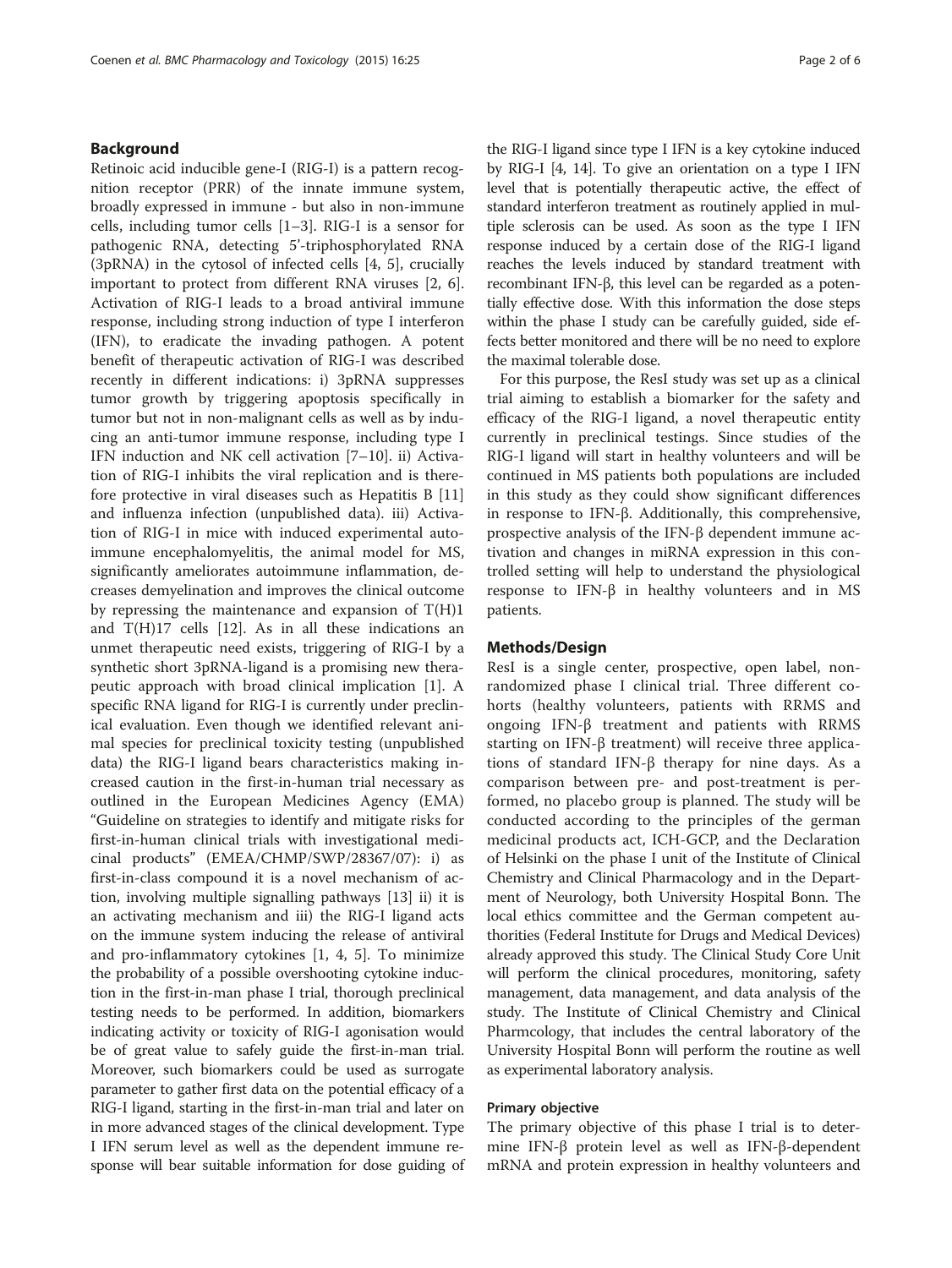### Background

Retinoic acid inducible gene-I (RIG-I) is a pattern recognition receptor (PRR) of the innate immune system, broadly expressed in immune - but also in non-immune cells, including tumor cells [\[1](#page-4-0)–[3](#page-4-0)]. RIG-I is a sensor for pathogenic RNA, detecting 5'-triphosphorylated RNA (3pRNA) in the cytosol of infected cells [\[4](#page-4-0), [5](#page-4-0)], crucially important to protect from different RNA viruses [\[2](#page-4-0), [6](#page-4-0)]. Activation of RIG-I leads to a broad antiviral immune response, including strong induction of type I interferon (IFN), to eradicate the invading pathogen. A potent benefit of therapeutic activation of RIG-I was described recently in different indications: i) 3pRNA suppresses tumor growth by triggering apoptosis specifically in tumor but not in non-malignant cells as well as by inducing an anti-tumor immune response, including type I IFN induction and NK cell activation [[7](#page-4-0)–[10](#page-4-0)]. ii) Activation of RIG-I inhibits the viral replication and is therefore protective in viral diseases such as Hepatitis B [[11](#page-5-0)] and influenza infection (unpublished data). iii) Activation of RIG-I in mice with induced experimental autoimmune encephalomyelitis, the animal model for MS, significantly ameliorates autoimmune inflammation, decreases demyelination and improves the clinical outcome by repressing the maintenance and expansion of T(H)1 and  $T(H)$ 17 cells [\[12\]](#page-5-0). As in all these indications an unmet therapeutic need exists, triggering of RIG-I by a synthetic short 3pRNA-ligand is a promising new therapeutic approach with broad clinical implication [\[1](#page-4-0)]. A specific RNA ligand for RIG-I is currently under preclinical evaluation. Even though we identified relevant animal species for preclinical toxicity testing (unpublished data) the RIG-I ligand bears characteristics making increased caution in the first-in-human trial necessary as outlined in the European Medicines Agency (EMA) "Guideline on strategies to identify and mitigate risks for first-in-human clinical trials with investigational medicinal products" (EMEA/CHMP/SWP/28367/07): i) as first-in-class compound it is a novel mechanism of action, involving multiple signalling pathways [\[13](#page-5-0)] ii) it is an activating mechanism and iii) the RIG-I ligand acts on the immune system inducing the release of antiviral and pro-inflammatory cytokines [[1, 4](#page-4-0), [5\]](#page-4-0). To minimize the probability of a possible overshooting cytokine induction in the first-in-man phase I trial, thorough preclinical testing needs to be performed. In addition, biomarkers indicating activity or toxicity of RIG-I agonisation would be of great value to safely guide the first-in-man trial. Moreover, such biomarkers could be used as surrogate parameter to gather first data on the potential efficacy of a RIG-I ligand, starting in the first-in-man trial and later on in more advanced stages of the clinical development. Type I IFN serum level as well as the dependent immune response will bear suitable information for dose guiding of the RIG-I ligand since type I IFN is a key cytokine induced by RIG-I [[4](#page-4-0), [14\]](#page-5-0). To give an orientation on a type I IFN level that is potentially therapeutic active, the effect of standard interferon treatment as routinely applied in multiple sclerosis can be used. As soon as the type I IFN response induced by a certain dose of the RIG-I ligand reaches the levels induced by standard treatment with recombinant IFN-β, this level can be regarded as a potentially effective dose. With this information the dose steps within the phase I study can be carefully guided, side effects better monitored and there will be no need to explore the maximal tolerable dose.

For this purpose, the ResI study was set up as a clinical trial aiming to establish a biomarker for the safety and efficacy of the RIG-I ligand, a novel therapeutic entity currently in preclinical testings. Since studies of the RIG-I ligand will start in healthy volunteers and will be continued in MS patients both populations are included in this study as they could show significant differences in response to IFN-β. Additionally, this comprehensive, prospective analysis of the IFN-β dependent immune activation and changes in miRNA expression in this controlled setting will help to understand the physiological response to IFN-β in healthy volunteers and in MS patients.

# Methods/Design

ResI is a single center, prospective, open label, nonrandomized phase I clinical trial. Three different cohorts (healthy volunteers, patients with RRMS and ongoing IFN-β treatment and patients with RRMS starting on IFN-β treatment) will receive three applications of standard IFN-β therapy for nine days. As a comparison between pre- and post-treatment is performed, no placebo group is planned. The study will be conducted according to the principles of the german medicinal products act, ICH-GCP, and the Declaration of Helsinki on the phase I unit of the Institute of Clinical Chemistry and Clinical Pharmacology and in the Department of Neurology, both University Hospital Bonn. The local ethics committee and the German competent authorities (Federal Institute for Drugs and Medical Devices) already approved this study. The Clinical Study Core Unit will perform the clinical procedures, monitoring, safety management, data management, and data analysis of the study. The Institute of Clinical Chemistry and Clinical Pharmcology, that includes the central laboratory of the University Hospital Bonn will perform the routine as well as experimental laboratory analysis.

# Primary objective

The primary objective of this phase I trial is to determine IFN-β protein level as well as IFN-β-dependent mRNA and protein expression in healthy volunteers and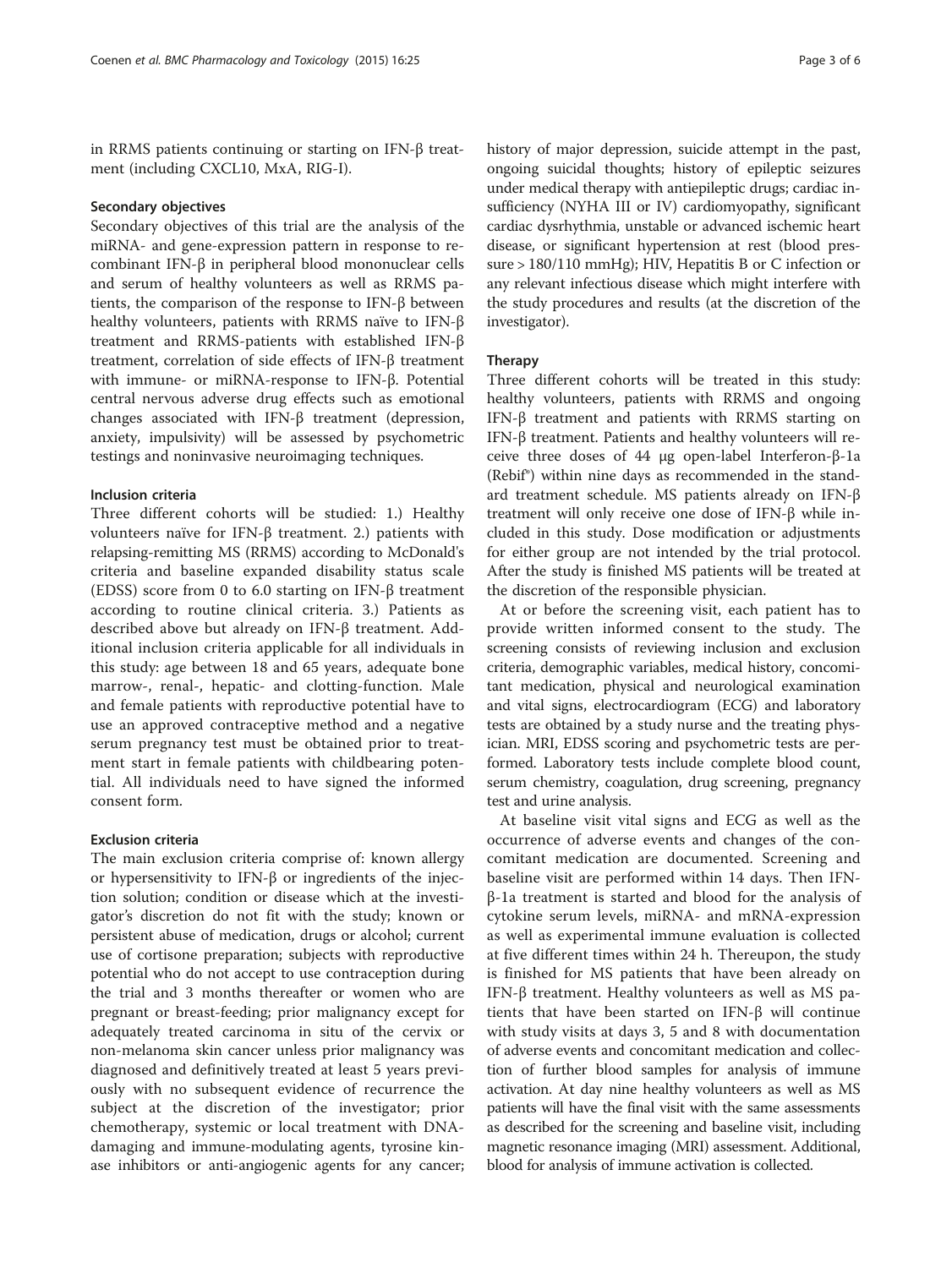in RRMS patients continuing or starting on IFN-β treatment (including CXCL10, MxA, RIG-I).

#### Secondary objectives

Secondary objectives of this trial are the analysis of the miRNA- and gene-expression pattern in response to recombinant IFN-β in peripheral blood mononuclear cells and serum of healthy volunteers as well as RRMS patients, the comparison of the response to IFN-β between healthy volunteers, patients with RRMS naïve to IFN-β treatment and RRMS-patients with established IFN-β treatment, correlation of side effects of IFN-β treatment with immune- or miRNA-response to IFN-β. Potential central nervous adverse drug effects such as emotional changes associated with IFN-β treatment (depression, anxiety, impulsivity) will be assessed by psychometric testings and noninvasive neuroimaging techniques.

# Inclusion criteria

Three different cohorts will be studied: 1.) Healthy volunteers naïve for IFN-β treatment. 2.) patients with relapsing-remitting MS (RRMS) according to McDonald's criteria and baseline expanded disability status scale (EDSS) score from 0 to 6.0 starting on IFN-β treatment according to routine clinical criteria. 3.) Patients as described above but already on IFN-β treatment. Additional inclusion criteria applicable for all individuals in this study: age between 18 and 65 years, adequate bone marrow-, renal-, hepatic- and clotting-function. Male and female patients with reproductive potential have to use an approved contraceptive method and a negative serum pregnancy test must be obtained prior to treatment start in female patients with childbearing potential. All individuals need to have signed the informed consent form.

#### Exclusion criteria

The main exclusion criteria comprise of: known allergy or hypersensitivity to IFN-β or ingredients of the injection solution; condition or disease which at the investigator's discretion do not fit with the study; known or persistent abuse of medication, drugs or alcohol; current use of cortisone preparation; subjects with reproductive potential who do not accept to use contraception during the trial and 3 months thereafter or women who are pregnant or breast-feeding; prior malignancy except for adequately treated carcinoma in situ of the cervix or non-melanoma skin cancer unless prior malignancy was diagnosed and definitively treated at least 5 years previously with no subsequent evidence of recurrence the subject at the discretion of the investigator; prior chemotherapy, systemic or local treatment with DNAdamaging and immune-modulating agents, tyrosine kinase inhibitors or anti-angiogenic agents for any cancer; history of major depression, suicide attempt in the past, ongoing suicidal thoughts; history of epileptic seizures under medical therapy with antiepileptic drugs; cardiac insufficiency (NYHA III or IV) cardiomyopathy, significant cardiac dysrhythmia, unstable or advanced ischemic heart disease, or significant hypertension at rest (blood pressure > 180/110 mmHg); HIV, Hepatitis B or C infection or any relevant infectious disease which might interfere with the study procedures and results (at the discretion of the investigator).

#### Therapy

Three different cohorts will be treated in this study: healthy volunteers, patients with RRMS and ongoing IFN-β treatment and patients with RRMS starting on IFN-β treatment. Patients and healthy volunteers will receive three doses of 44 μg open-label Interferon-β-1a (Rebif®) within nine days as recommended in the standard treatment schedule. MS patients already on IFN-β treatment will only receive one dose of IFN-β while included in this study. Dose modification or adjustments for either group are not intended by the trial protocol. After the study is finished MS patients will be treated at the discretion of the responsible physician.

At or before the screening visit, each patient has to provide written informed consent to the study. The screening consists of reviewing inclusion and exclusion criteria, demographic variables, medical history, concomitant medication, physical and neurological examination and vital signs, electrocardiogram (ECG) and laboratory tests are obtained by a study nurse and the treating physician. MRI, EDSS scoring and psychometric tests are performed. Laboratory tests include complete blood count, serum chemistry, coagulation, drug screening, pregnancy test and urine analysis.

At baseline visit vital signs and ECG as well as the occurrence of adverse events and changes of the concomitant medication are documented. Screening and baseline visit are performed within 14 days. Then IFNβ-1a treatment is started and blood for the analysis of cytokine serum levels, miRNA- and mRNA-expression as well as experimental immune evaluation is collected at five different times within 24 h. Thereupon, the study is finished for MS patients that have been already on IFN-β treatment. Healthy volunteers as well as MS patients that have been started on IFN-β will continue with study visits at days 3, 5 and 8 with documentation of adverse events and concomitant medication and collection of further blood samples for analysis of immune activation. At day nine healthy volunteers as well as MS patients will have the final visit with the same assessments as described for the screening and baseline visit, including magnetic resonance imaging (MRI) assessment. Additional, blood for analysis of immune activation is collected.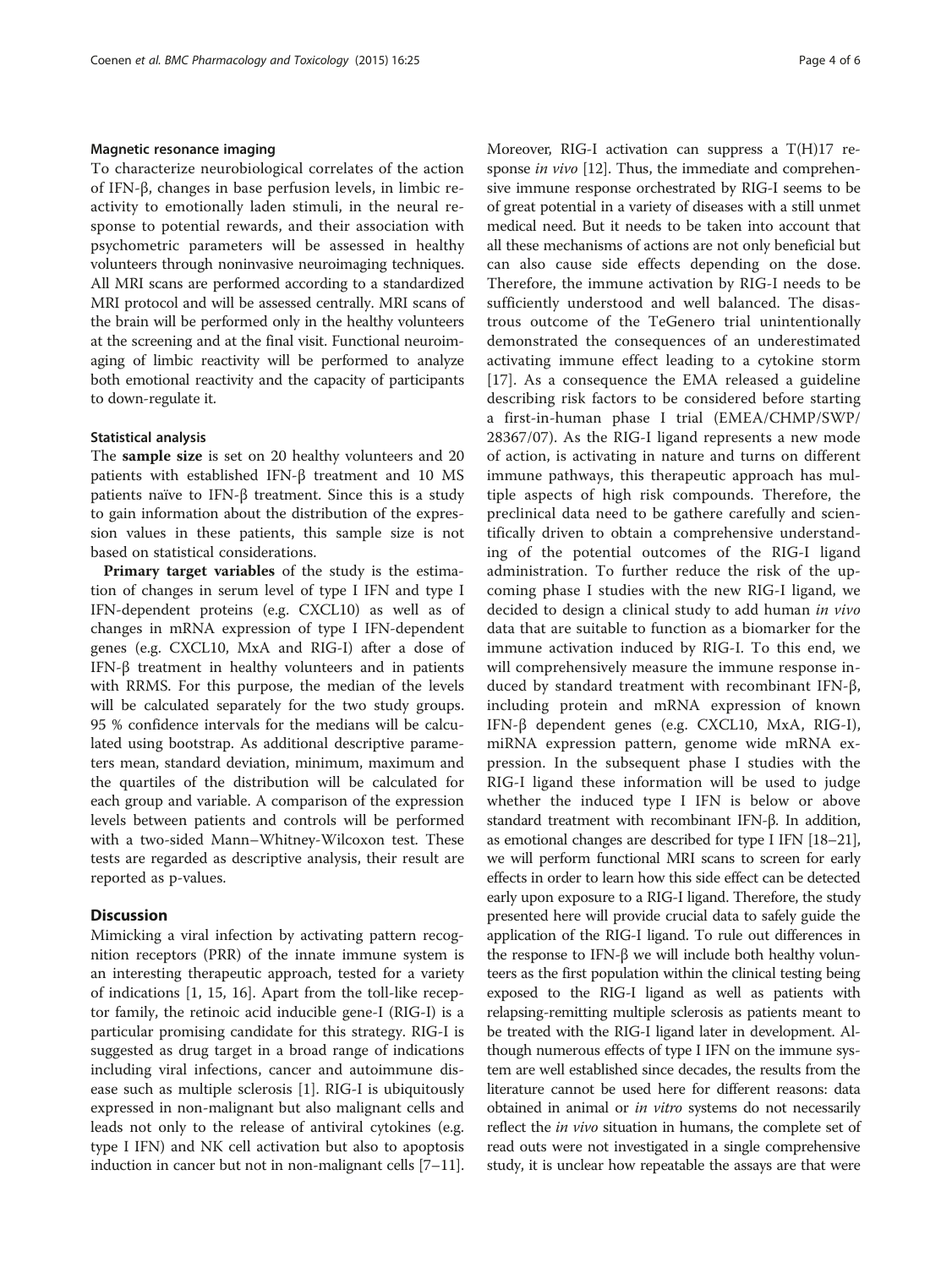#### Magnetic resonance imaging

To characterize neurobiological correlates of the action of IFN-β, changes in base perfusion levels, in limbic reactivity to emotionally laden stimuli, in the neural response to potential rewards, and their association with psychometric parameters will be assessed in healthy volunteers through noninvasive neuroimaging techniques. All MRI scans are performed according to a standardized MRI protocol and will be assessed centrally. MRI scans of the brain will be performed only in the healthy volunteers at the screening and at the final visit. Functional neuroimaging of limbic reactivity will be performed to analyze both emotional reactivity and the capacity of participants to down-regulate it.

#### Statistical analysis

The sample size is set on 20 healthy volunteers and 20 patients with established IFN-β treatment and 10 MS patients naïve to IFN-β treatment. Since this is a study to gain information about the distribution of the expression values in these patients, this sample size is not based on statistical considerations.

Primary target variables of the study is the estimation of changes in serum level of type I IFN and type I IFN-dependent proteins (e.g. CXCL10) as well as of changes in mRNA expression of type I IFN-dependent genes (e.g. CXCL10, MxA and RIG-I) after a dose of IFN-β treatment in healthy volunteers and in patients with RRMS. For this purpose, the median of the levels will be calculated separately for the two study groups. 95 % confidence intervals for the medians will be calculated using bootstrap. As additional descriptive parameters mean, standard deviation, minimum, maximum and the quartiles of the distribution will be calculated for each group and variable. A comparison of the expression levels between patients and controls will be performed with a two-sided Mann–Whitney-Wilcoxon test. These tests are regarded as descriptive analysis, their result are reported as p-values.

# **Discussion**

Mimicking a viral infection by activating pattern recognition receptors (PRR) of the innate immune system is an interesting therapeutic approach, tested for a variety of indications [\[1](#page-4-0), [15, 16\]](#page-5-0). Apart from the toll-like receptor family, the retinoic acid inducible gene-I (RIG-I) is a particular promising candidate for this strategy. RIG-I is suggested as drug target in a broad range of indications including viral infections, cancer and autoimmune disease such as multiple sclerosis [[1\]](#page-4-0). RIG-I is ubiquitously expressed in non-malignant but also malignant cells and leads not only to the release of antiviral cytokines (e.g. type I IFN) and NK cell activation but also to apoptosis induction in cancer but not in non-malignant cells [\[7](#page-4-0)–[11](#page-5-0)]. Moreover, RIG-I activation can suppress a T(H)17 response *in vivo* [[12](#page-5-0)]. Thus, the immediate and comprehensive immune response orchestrated by RIG-I seems to be of great potential in a variety of diseases with a still unmet medical need. But it needs to be taken into account that all these mechanisms of actions are not only beneficial but can also cause side effects depending on the dose. Therefore, the immune activation by RIG-I needs to be sufficiently understood and well balanced. The disastrous outcome of the TeGenero trial unintentionally demonstrated the consequences of an underestimated activating immune effect leading to a cytokine storm [[17\]](#page-5-0). As a consequence the EMA released a guideline describing risk factors to be considered before starting a first-in-human phase I trial (EMEA/CHMP/SWP/ 28367/07). As the RIG-I ligand represents a new mode of action, is activating in nature and turns on different immune pathways, this therapeutic approach has multiple aspects of high risk compounds. Therefore, the preclinical data need to be gathere carefully and scientifically driven to obtain a comprehensive understanding of the potential outcomes of the RIG-I ligand administration. To further reduce the risk of the upcoming phase I studies with the new RIG-I ligand, we decided to design a clinical study to add human in vivo data that are suitable to function as a biomarker for the immune activation induced by RIG-I. To this end, we will comprehensively measure the immune response induced by standard treatment with recombinant IFN-β, including protein and mRNA expression of known IFN-β dependent genes (e.g. CXCL10, MxA, RIG-I), miRNA expression pattern, genome wide mRNA expression. In the subsequent phase I studies with the RIG-I ligand these information will be used to judge whether the induced type I IFN is below or above standard treatment with recombinant IFN-β. In addition, as emotional changes are described for type I IFN [[18](#page-5-0)–[21](#page-5-0)], we will perform functional MRI scans to screen for early effects in order to learn how this side effect can be detected early upon exposure to a RIG-I ligand. Therefore, the study presented here will provide crucial data to safely guide the application of the RIG-I ligand. To rule out differences in the response to IFN-β we will include both healthy volunteers as the first population within the clinical testing being exposed to the RIG-I ligand as well as patients with relapsing-remitting multiple sclerosis as patients meant to be treated with the RIG-I ligand later in development. Although numerous effects of type I IFN on the immune system are well established since decades, the results from the literature cannot be used here for different reasons: data obtained in animal or in vitro systems do not necessarily reflect the *in vivo* situation in humans, the complete set of read outs were not investigated in a single comprehensive study, it is unclear how repeatable the assays are that were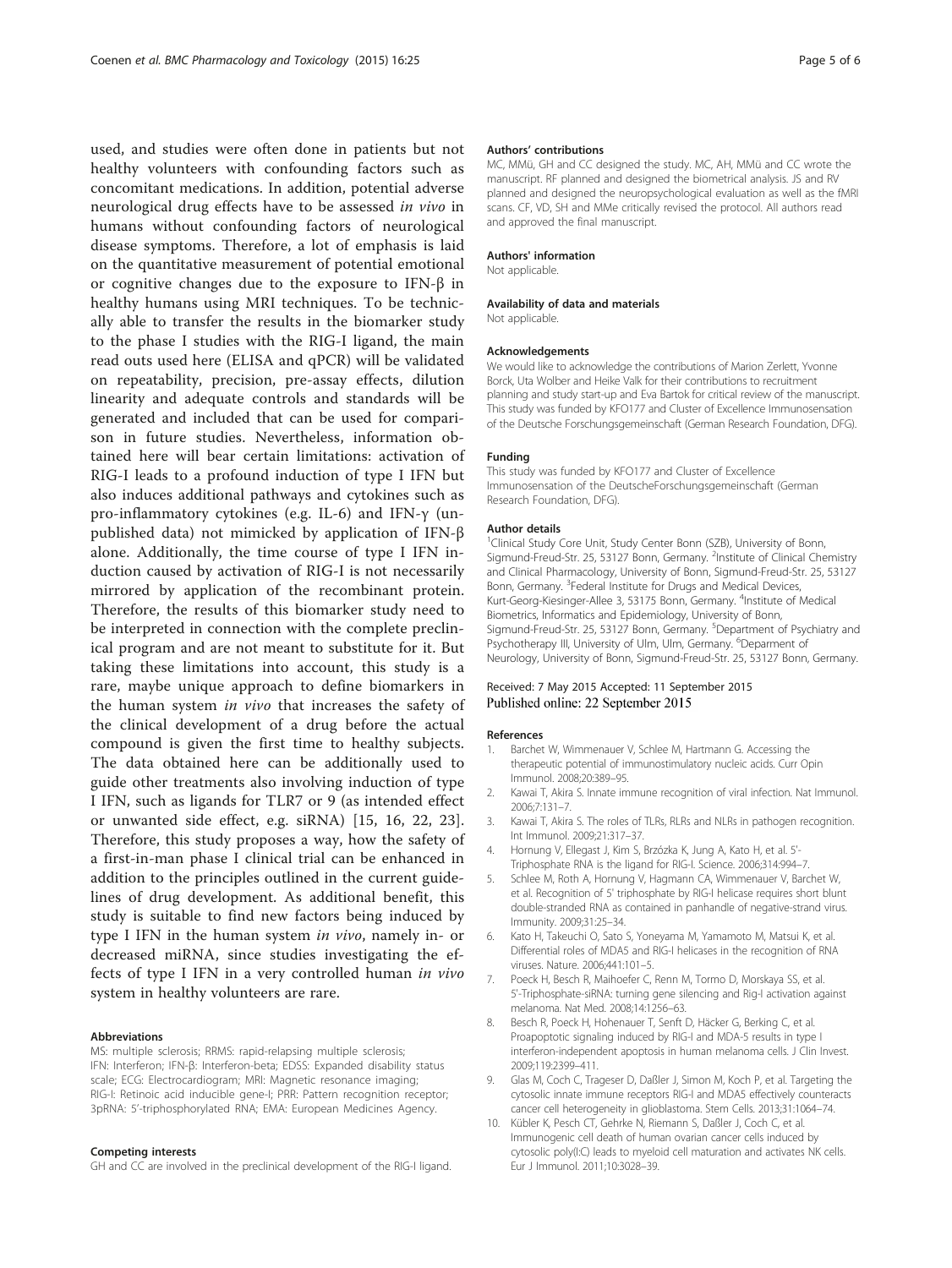<span id="page-4-0"></span>used, and studies were often done in patients but not healthy volunteers with confounding factors such as concomitant medications. In addition, potential adverse neurological drug effects have to be assessed in vivo in humans without confounding factors of neurological disease symptoms. Therefore, a lot of emphasis is laid on the quantitative measurement of potential emotional or cognitive changes due to the exposure to IFN-β in healthy humans using MRI techniques. To be technically able to transfer the results in the biomarker study to the phase I studies with the RIG-I ligand, the main read outs used here (ELISA and qPCR) will be validated on repeatability, precision, pre-assay effects, dilution linearity and adequate controls and standards will be generated and included that can be used for comparison in future studies. Nevertheless, information obtained here will bear certain limitations: activation of RIG-I leads to a profound induction of type I IFN but also induces additional pathways and cytokines such as pro-inflammatory cytokines (e.g. IL-6) and IFN-γ (unpublished data) not mimicked by application of IFN-β alone. Additionally, the time course of type I IFN induction caused by activation of RIG-I is not necessarily mirrored by application of the recombinant protein. Therefore, the results of this biomarker study need to be interpreted in connection with the complete preclinical program and are not meant to substitute for it. But taking these limitations into account, this study is a rare, maybe unique approach to define biomarkers in the human system in vivo that increases the safety of the clinical development of a drug before the actual compound is given the first time to healthy subjects. The data obtained here can be additionally used to guide other treatments also involving induction of type I IFN, such as ligands for TLR7 or 9 (as intended effect or unwanted side effect, e.g. siRNA) [\[15](#page-5-0), [16](#page-5-0), [22](#page-5-0), [23](#page-5-0)]. Therefore, this study proposes a way, how the safety of a first-in-man phase I clinical trial can be enhanced in addition to the principles outlined in the current guidelines of drug development. As additional benefit, this study is suitable to find new factors being induced by type I IFN in the human system *in vivo*, namely in- or decreased miRNA, since studies investigating the effects of type I IFN in a very controlled human in vivo system in healthy volunteers are rare.

#### Abbreviations

MS: multiple sclerosis; RRMS: rapid-relapsing multiple sclerosis; IFN: Interferon; IFN-β: Interferon-beta; EDSS: Expanded disability status scale; ECG: Electrocardiogram; MRI: Magnetic resonance imaging; RIG-I: Retinoic acid inducible gene-I; PRR: Pattern recognition receptor; 3pRNA: 5'-triphosphorylated RNA; EMA: European Medicines Agency.

#### Competing interests

GH and CC are involved in the preclinical development of the RIG-I ligand.

#### Authors' contributions

MC, MMü, GH and CC designed the study. MC, AH, MMü and CC wrote the manuscript. RF planned and designed the biometrical analysis. JS and RV planned and designed the neuropsychological evaluation as well as the fMRI scans. CF, VD, SH and MMe critically revised the protocol. All authors read and approved the final manuscript.

#### Authors' information

Not applicable.

#### Availability of data and materials

Not applicable.

#### Acknowledgements

We would like to acknowledge the contributions of Marion Zerlett, Yvonne Borck, Uta Wolber and Heike Valk for their contributions to recruitment planning and study start-up and Eva Bartok for critical review of the manuscript. This study was funded by KFO177 and Cluster of Excellence Immunosensation of the Deutsche Forschungsgemeinschaft (German Research Foundation, DFG).

#### Funding

This study was funded by KFO177 and Cluster of Excellence Immunosensation of the DeutscheForschungsgemeinschaft (German Research Foundation, DFG).

#### Author details

<sup>1</sup> Clinical Study Core Unit, Study Center Bonn (SZB), University of Bonn Sigmund-Freud-Str. 25, 53127 Bonn, Germany. <sup>2</sup>Institute of Clinical Chemistry and Clinical Pharmacology, University of Bonn, Sigmund-Freud-Str. 25, 53127 Bonn, Germany. <sup>3</sup>Federal Institute for Drugs and Medical Devices, Kurt-Georg-Kiesinger-Allee 3, 53175 Bonn, Germany. <sup>4</sup>Institute of Medical Biometrics, Informatics and Epidemiology, University of Bonn, Sigmund-Freud-Str. 25, 53127 Bonn, Germany. <sup>5</sup>Department of Psychiatry and Psychotherapy III, University of Ulm, Ulm, Germany. <sup>6</sup>Deparment of Neurology, University of Bonn, Sigmund-Freud-Str. 25, 53127 Bonn, Germany.

#### Received: 7 May 2015 Accepted: 11 September 2015 Published online: 22 September 2015

#### References

- 1. Barchet W, Wimmenauer V, Schlee M, Hartmann G. Accessing the therapeutic potential of immunostimulatory nucleic acids. Curr Opin Immunol. 2008;20:389–95.
- 2. Kawai T, Akira S. Innate immune recognition of viral infection. Nat Immunol. 2006;7:131–7.
- 3. Kawai T, Akira S. The roles of TLRs, RLRs and NLRs in pathogen recognition. Int Immunol. 2009;21:317–37.
- 4. Hornung V, Ellegast J, Kim S, Brzózka K, Jung A, Kato H, et al. 5'- Triphosphate RNA is the ligand for RIG-I. Science. 2006;314:994–7.
- 5. Schlee M, Roth A, Hornung V, Hagmann CA, Wimmenauer V, Barchet W, et al. Recognition of 5' triphosphate by RIG-I helicase requires short blunt double-stranded RNA as contained in panhandle of negative-strand virus. Immunity. 2009;31:25–34.
- 6. Kato H, Takeuchi O, Sato S, Yoneyama M, Yamamoto M, Matsui K, et al. Differential roles of MDA5 and RIG-I helicases in the recognition of RNA viruses. Nature. 2006;441:101–5.
- 7. Poeck H, Besch R, Maihoefer C, Renn M, Tormo D, Morskaya SS, et al. 5'-Triphosphate-siRNA: turning gene silencing and Rig-I activation against melanoma. Nat Med. 2008;14:1256–63.
- 8. Besch R, Poeck H, Hohenauer T, Senft D, Häcker G, Berking C, et al. Proapoptotic signaling induced by RIG-I and MDA-5 results in type I interferon-independent apoptosis in human melanoma cells. J Clin Invest. 2009;119:2399–411.
- 9. Glas M, Coch C, Trageser D, Daßler J, Simon M, Koch P, et al. Targeting the cytosolic innate immune receptors RIG-I and MDA5 effectively counteracts cancer cell heterogeneity in glioblastoma. Stem Cells. 2013;31:1064–74.
- 10. Kübler K, Pesch CT, Gehrke N, Riemann S, Daßler J, Coch C, et al. Immunogenic cell death of human ovarian cancer cells induced by cytosolic poly(I:C) leads to myeloid cell maturation and activates NK cells. Eur J Immunol. 2011;10:3028–39.